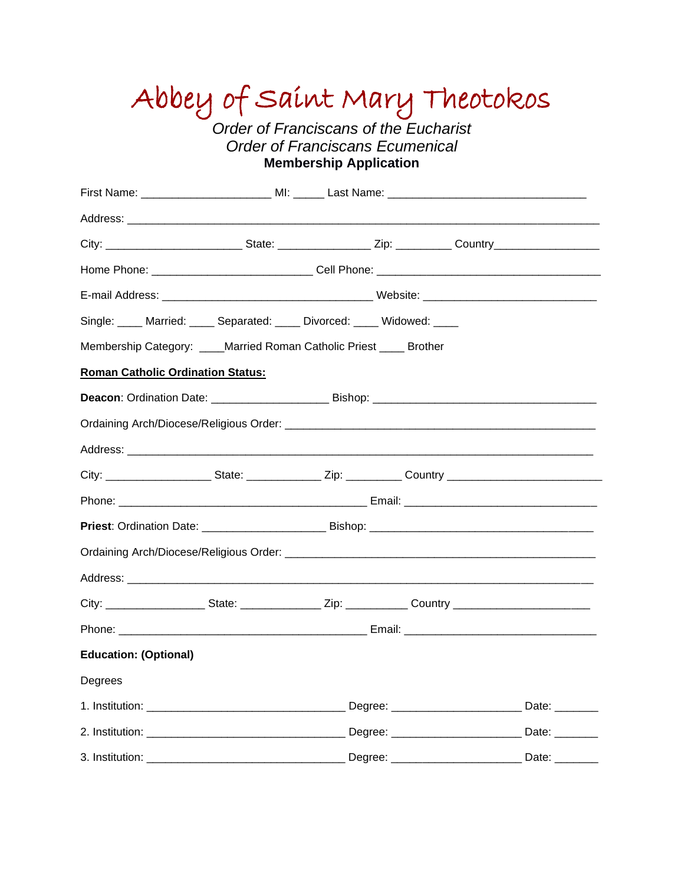# Abbey of Saint Mary Theotokos

*Order of Franciscans of the Eucharist Order of Franciscans Ecumenical* **Membership Application**

| Single: ____ Married: ____ Separated: ____ Divorced: ____ Widowed: ____                                              |  |  |  |  |              |
|----------------------------------------------------------------------------------------------------------------------|--|--|--|--|--------------|
| Membership Category: ____Married Roman Catholic Priest ____ Brother                                                  |  |  |  |  |              |
| <b>Roman Catholic Ordination Status:</b>                                                                             |  |  |  |  |              |
|                                                                                                                      |  |  |  |  |              |
|                                                                                                                      |  |  |  |  |              |
|                                                                                                                      |  |  |  |  |              |
| City: __________________________State: _____________________Zip: _______________Country ____________________________ |  |  |  |  |              |
|                                                                                                                      |  |  |  |  |              |
|                                                                                                                      |  |  |  |  |              |
|                                                                                                                      |  |  |  |  |              |
|                                                                                                                      |  |  |  |  |              |
| City: _______________________State: __________________Zip: ________________Country ___________________________       |  |  |  |  |              |
|                                                                                                                      |  |  |  |  |              |
| <b>Education: (Optional)</b>                                                                                         |  |  |  |  |              |
| Degrees                                                                                                              |  |  |  |  |              |
|                                                                                                                      |  |  |  |  |              |
|                                                                                                                      |  |  |  |  |              |
| 3. Institution:                                                                                                      |  |  |  |  | Date: $\_\_$ |